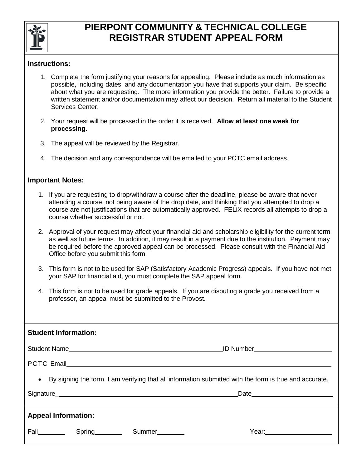

## **PIERPONT COMMUNITY & TECHNICAL COLLEGE REGISTRAR STUDENT APPEAL FORM**

## **Instructions:**

- 1. Complete the form justifying your reasons for appealing. Please include as much information as possible, including dates, and any documentation you have that supports your claim. Be specific about what you are requesting. The more information you provide the better. Failure to provide a written statement and/or documentation may affect our decision. Return all material to the Student Services Center.
- 2. Your request will be processed in the order it is received. **Allow at least one week for processing.**
- 3. The appeal will be reviewed by the Registrar.
- 4. The decision and any correspondence will be emailed to your PCTC email address.

## **Important Notes:**

- 1. If you are requesting to drop/withdraw a course after the deadline, please be aware that never attending a course, not being aware of the drop date, and thinking that you attempted to drop a course are not justifications that are automatically approved. FELiX records all attempts to drop a course whether successful or not.
- 2. Approval of your request may affect your financial aid and scholarship eligibility for the current term as well as future terms. In addition, it may result in a payment due to the institution. Payment may be required before the approved appeal can be processed. Please consult with the Financial Aid Office before you submit this form.
- 3. This form is not to be used for SAP (Satisfactory Academic Progress) appeals. If you have not met your SAP for financial aid, you must complete the SAP appeal form.
- 4. This form is not to be used for grade appeals. If you are disputing a grade you received from a professor, an appeal must be submitted to the Provost.

| • By signing the form, I am verifying that all information submitted with the form is true and accurate. |  |  |  |  |
|----------------------------------------------------------------------------------------------------------|--|--|--|--|
|                                                                                                          |  |  |  |  |
|                                                                                                          |  |  |  |  |
| <b>Appeal Information:</b>                                                                               |  |  |  |  |
|                                                                                                          |  |  |  |  |
|                                                                                                          |  |  |  |  |